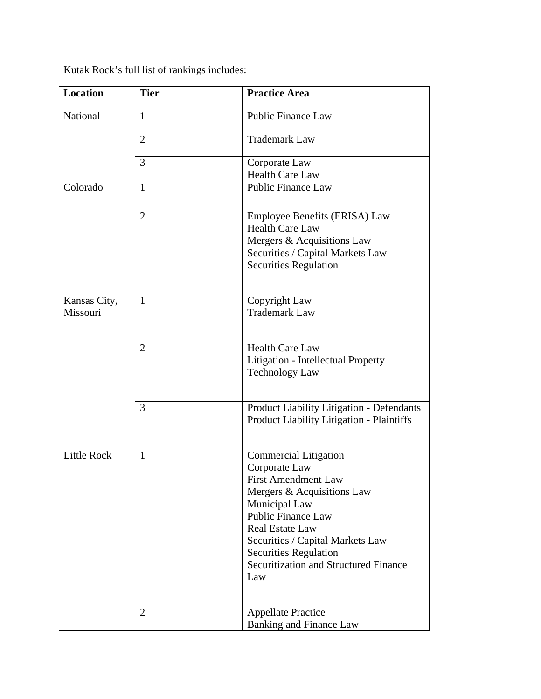Kutak Rock's full list of rankings includes:

| <b>Location</b>          | <b>Tier</b>    | <b>Practice Area</b>                                                                                                                                                                                                                                                                                         |
|--------------------------|----------------|--------------------------------------------------------------------------------------------------------------------------------------------------------------------------------------------------------------------------------------------------------------------------------------------------------------|
| National                 | $\mathbf{1}$   | <b>Public Finance Law</b>                                                                                                                                                                                                                                                                                    |
|                          | $\overline{2}$ | <b>Trademark Law</b>                                                                                                                                                                                                                                                                                         |
|                          | 3              | Corporate Law<br><b>Health Care Law</b>                                                                                                                                                                                                                                                                      |
| Colorado                 | $\mathbf{1}$   | <b>Public Finance Law</b>                                                                                                                                                                                                                                                                                    |
|                          | $\overline{2}$ | Employee Benefits (ERISA) Law<br><b>Health Care Law</b><br>Mergers & Acquisitions Law<br>Securities / Capital Markets Law<br><b>Securities Regulation</b>                                                                                                                                                    |
| Kansas City,<br>Missouri | 1              | Copyright Law<br><b>Trademark Law</b>                                                                                                                                                                                                                                                                        |
|                          | $\overline{2}$ | <b>Health Care Law</b><br>Litigation - Intellectual Property<br><b>Technology Law</b>                                                                                                                                                                                                                        |
|                          | 3              | <b>Product Liability Litigation - Defendants</b><br>Product Liability Litigation - Plaintiffs                                                                                                                                                                                                                |
| <b>Little Rock</b>       | 1              | <b>Commercial Litigation</b><br>Corporate Law<br><b>First Amendment Law</b><br>Mergers & Acquisitions Law<br>Municipal Law<br><b>Public Finance Law</b><br><b>Real Estate Law</b><br>Securities / Capital Markets Law<br><b>Securities Regulation</b><br><b>Securitization and Structured Finance</b><br>Law |
|                          | $\overline{2}$ | <b>Appellate Practice</b><br><b>Banking and Finance Law</b>                                                                                                                                                                                                                                                  |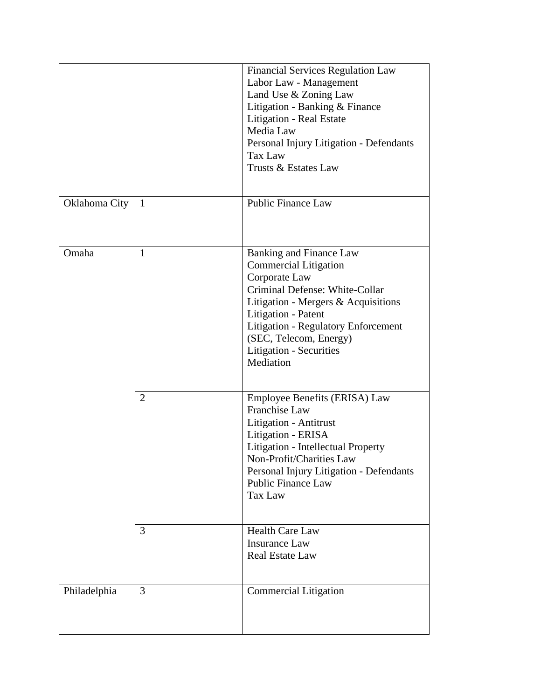|               |                | <b>Financial Services Regulation Law</b><br>Labor Law - Management<br>Land Use & Zoning Law<br>Litigation - Banking & Finance<br>Litigation - Real Estate<br>Media Law<br>Personal Injury Litigation - Defendants<br>Tax Law<br>Trusts & Estates Law                                            |
|---------------|----------------|-------------------------------------------------------------------------------------------------------------------------------------------------------------------------------------------------------------------------------------------------------------------------------------------------|
| Oklahoma City | $\mathbf{1}$   | <b>Public Finance Law</b>                                                                                                                                                                                                                                                                       |
| Omaha         | $\mathbf{1}$   | <b>Banking and Finance Law</b><br><b>Commercial Litigation</b><br>Corporate Law<br>Criminal Defense: White-Collar<br>Litigation - Mergers & Acquisitions<br>Litigation - Patent<br><b>Litigation - Regulatory Enforcement</b><br>(SEC, Telecom, Energy)<br>Litigation - Securities<br>Mediation |
|               | $\overline{2}$ | Employee Benefits (ERISA) Law<br>Franchise Law<br>Litigation - Antitrust<br>Litigation - ERISA<br>Litigation - Intellectual Property<br>Non-Profit/Charities Law<br>Personal Injury Litigation - Defendants<br><b>Public Finance Law</b><br>Tax Law                                             |
|               | 3              | <b>Health Care Law</b><br><b>Insurance Law</b><br><b>Real Estate Law</b>                                                                                                                                                                                                                        |
| Philadelphia  | 3              | <b>Commercial Litigation</b>                                                                                                                                                                                                                                                                    |